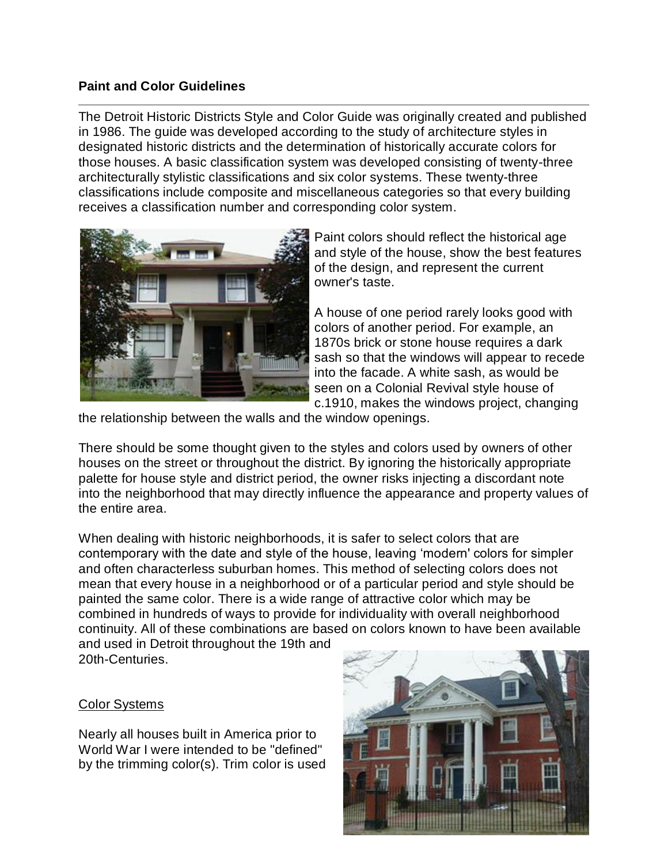## **Paint and Color Guidelines**

The Detroit Historic Districts Style and Color Guide was originally created and published in 1986. The guide was developed according to the study of architecture styles in designated historic districts and the determination of historically accurate colors for those houses. A basic classification system was developed consisting of twenty-three architecturally stylistic classifications and six color systems. These twenty-three classifications include composite and miscellaneous categories so that every building receives a classification number and corresponding color system.



Paint colors should reflect the historical age and style of the house, show the best features of the design, and represent the current owner's taste.

A house of one period rarely looks good with colors of another period. For example, an 1870s brick or stone house requires a dark sash so that the windows will appear to recede into the facade. A white sash, as would be seen on a Colonial Revival style house of c.1910, makes the windows project, changing

the relationship between the walls and the window openings.

There should be some thought given to the styles and colors used by owners of other houses on the street or throughout the district. By ignoring the historically appropriate palette for house style and district period, the owner risks injecting a discordant note into the neighborhood that may directly influence the appearance and property values of the entire area.

When dealing with historic neighborhoods, it is safer to select colors that are contemporary with the date and style of the house, leaving 'modern' colors for simpler and often characterless suburban homes. This method of selecting colors does not mean that every house in a neighborhood or of a particular period and style should be painted the same color. There is a wide range of attractive color which may be combined in hundreds of ways to provide for individuality with overall neighborhood continuity. All of these combinations are based on colors known to have been available and used in Detroit throughout the 19th and

20th-Centuries.

## Color Systems

Nearly all houses built in America prior to World War I were intended to be "defined" by the trimming color(s). Trim color is used

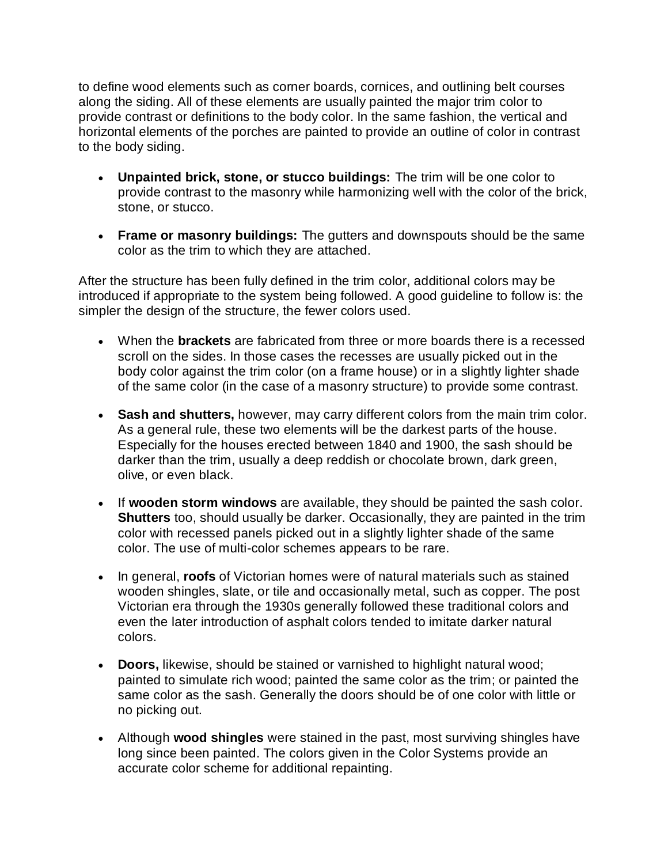to define wood elements such as corner boards, cornices, and outlining belt courses along the siding. All of these elements are usually painted the major trim color to provide contrast or definitions to the body color. In the same fashion, the vertical and horizontal elements of the porches are painted to provide an outline of color in contrast to the body siding.

- **Unpainted brick, stone, or stucco buildings:** The trim will be one color to provide contrast to the masonry while harmonizing well with the color of the brick, stone, or stucco.
- **Frame or masonry buildings:** The gutters and downspouts should be the same color as the trim to which they are attached.

After the structure has been fully defined in the trim color, additional colors may be introduced if appropriate to the system being followed. A good guideline to follow is: the simpler the design of the structure, the fewer colors used.

- When the **brackets** are fabricated from three or more boards there is a recessed scroll on the sides. In those cases the recesses are usually picked out in the body color against the trim color (on a frame house) or in a slightly lighter shade of the same color (in the case of a masonry structure) to provide some contrast.
- **Sash and shutters,** however, may carry different colors from the main trim color. As a general rule, these two elements will be the darkest parts of the house. Especially for the houses erected between 1840 and 1900, the sash should be darker than the trim, usually a deep reddish or chocolate brown, dark green, olive, or even black.
- If **wooden storm windows** are available, they should be painted the sash color. **Shutters** too, should usually be darker. Occasionally, they are painted in the trim color with recessed panels picked out in a slightly lighter shade of the same color. The use of multi-color schemes appears to be rare.
- In general, **roofs** of Victorian homes were of natural materials such as stained wooden shingles, slate, or tile and occasionally metal, such as copper. The post Victorian era through the 1930s generally followed these traditional colors and even the later introduction of asphalt colors tended to imitate darker natural colors.
- **Doors,** likewise, should be stained or varnished to highlight natural wood; painted to simulate rich wood; painted the same color as the trim; or painted the same color as the sash. Generally the doors should be of one color with little or no picking out.
- Although **wood shingles** were stained in the past, most surviving shingles have long since been painted. The colors given in the Color Systems provide an accurate color scheme for additional repainting.